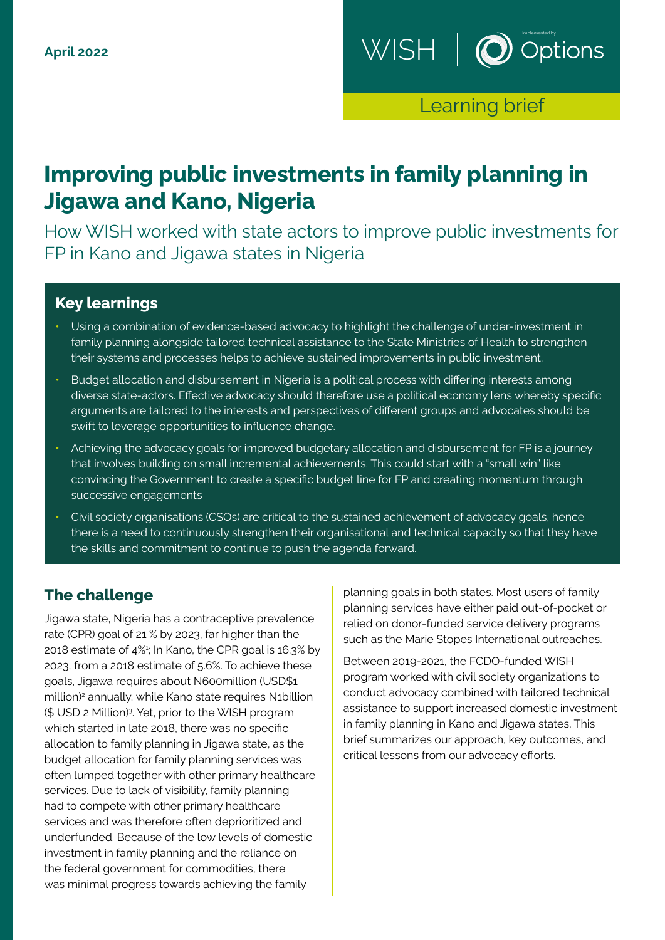

Learning brief

# **Improving public investments in family planning in Jigawa and Kano, Nigeria**

How WISH worked with state actors to improve public investments for FP in Kano and Jigawa states in Nigeria

### **Key learnings**

- **•** Using a combination of evidence-based advocacy to highlight the challenge of under-investment in family planning alongside tailored technical assistance to the State Ministries of Health to strengthen their systems and processes helps to achieve sustained improvements in public investment.
- **•** Budget allocation and disbursement in Nigeria is a political process with differing interests among diverse state-actors. Effective advocacy should therefore use a political economy lens whereby specific arguments are tailored to the interests and perspectives of different groups and advocates should be swift to leverage opportunities to influence change.
- **•** Achieving the advocacy goals for improved budgetary allocation and disbursement for FP is a journey that involves building on small incremental achievements. This could start with a "small win" like convincing the Government to create a specific budget line for FP and creating momentum through successive engagements
- **•** Civil society organisations (CSOs) are critical to the sustained achievement of advocacy goals, hence there is a need to continuously strengthen their organisational and technical capacity so that they have the skills and commitment to continue to push the agenda forward.

### **The challenge**

Jigawa state, Nigeria has a contraceptive prevalence rate (CPR) goal of 21 % by 2023, far higher than the 2018 estimate of 4%1 ; In Kano, the CPR goal is 16.3% by 2023, from a 2018 estimate of 5.6%. To achieve these goals, Jigawa requires about N600million (USD\$1 million)<sup>2</sup> annually, while Kano state requires N1billion (\$ USD 2 Million)3 . Yet, prior to the WISH program which started in late 2018, there was no specific allocation to family planning in Jigawa state, as the budget allocation for family planning services was often lumped together with other primary healthcare services. Due to lack of visibility, family planning had to compete with other primary healthcare services and was therefore often deprioritized and underfunded. Because of the low levels of domestic investment in family planning and the reliance on the federal government for commodities, there was minimal progress towards achieving the family

planning goals in both states. Most users of family planning services have either paid out-of-pocket or relied on donor-funded service delivery programs such as the Marie Stopes International outreaches.

Between 2019-2021, the FCDO-funded WISH program worked with civil society organizations to conduct advocacy combined with tailored technical assistance to support increased domestic investment in family planning in Kano and Jigawa states. This brief summarizes our approach, key outcomes, and critical lessons from our advocacy efforts.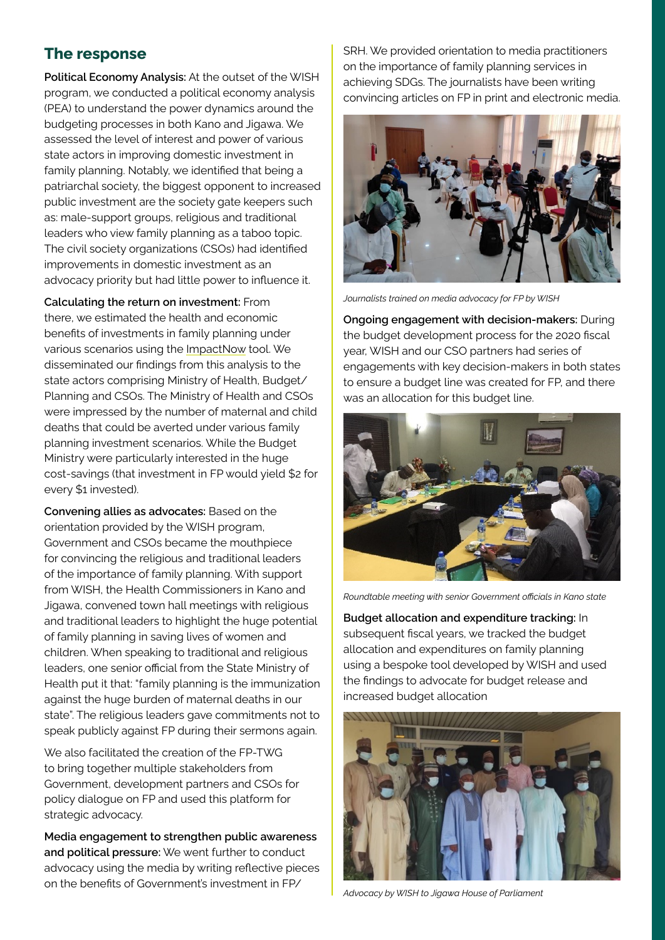# **The response**

**Political Economy Analysis:** At the outset of the WISH program, we conducted a political economy analysis (PEA) to understand the power dynamics around the budgeting processes in both Kano and Jigawa. We assessed the level of interest and power of various state actors in improving domestic investment in family planning. Notably, we identified that being a patriarchal society, the biggest opponent to increased public investment are the society gate keepers such as: male-support groups, religious and traditional leaders who view family planning as a taboo topic. The civil society organizations (CSOs) had identified improvements in domestic investment as an advocacy priority but had little power to influence it.

**Calculating the return on investment:** From there, we estimated the health and economic benefits of investments in family planning under various scenarios using the [ImpactNow](http://www.healthpolicyplus.com/impactnow.cfm) tool. We disseminated our findings from this analysis to the state actors comprising Ministry of Health, Budget/ Planning and CSOs. The Ministry of Health and CSOs were impressed by the number of maternal and child deaths that could be averted under various family planning investment scenarios. While the Budget Ministry were particularly interested in the huge cost-savings (that investment in FP would yield \$2 for every \$1 invested).

**Convening allies as advocates:** Based on the orientation provided by the WISH program, Government and CSOs became the mouthpiece for convincing the religious and traditional leaders of the importance of family planning. With support from WISH, the Health Commissioners in Kano and Jigawa, convened town hall meetings with religious and traditional leaders to highlight the huge potential of family planning in saving lives of women and children. When speaking to traditional and religious leaders, one senior official from the State Ministry of Health put it that: "family planning is the immunization against the huge burden of maternal deaths in our state". The religious leaders gave commitments not to speak publicly against FP during their sermons again.

We also facilitated the creation of the FP-TWG to bring together multiple stakeholders from Government, development partners and CSOs for policy dialogue on FP and used this platform for strategic advocacy.

**Media engagement to strengthen public awareness and political pressure:** We went further to conduct advocacy using the media by writing reflective pieces on the benefits of Government's investment in FP/

SRH. We provided orientation to media practitioners on the importance of family planning services in achieving SDGs. The journalists have been writing convincing articles on FP in print and electronic media.



*Journalists trained on media advocacy for FP by WISH*

**Ongoing engagement with decision-makers:** During the budget development process for the 2020 fiscal year, WISH and our CSO partners had series of engagements with key decision-makers in both states to ensure a budget line was created for FP, and there was an allocation for this budget line.



*Roundtable meeting with senior Government officials in Kano state*

**Budget allocation and expenditure tracking:** In subsequent fiscal years, we tracked the budget allocation and expenditures on family planning using a bespoke tool developed by WISH and used the findings to advocate for budget release and increased budget allocation



*Advocacy by WISH to Jigawa House of Parliament*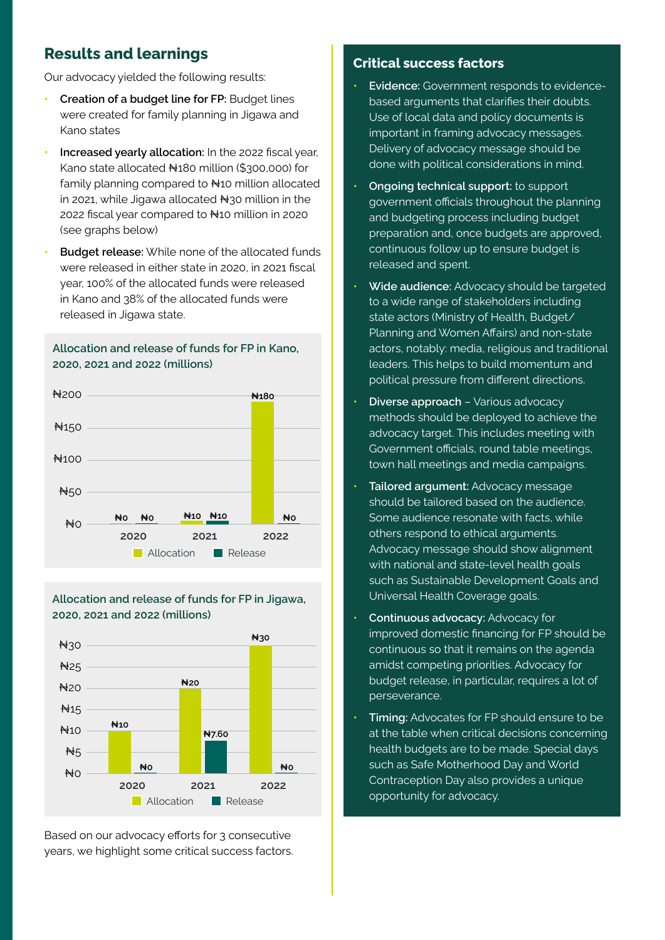# **Results and learnings**

Our advocacy yielded the following results:

- **• Creation of a budget line for FP:** Budget lines were created for family planning in Jigawa and Kano states
- **• Increased yearly allocation:** In the 2022 fiscal year, Kano state allocated N180 million (\$300,000) for family planning compared to  $H$ 10 million allocated in 2021, while Jigawa allocated  $\forall$ 30 million in the 2022 fiscal year compared to ₦10 million in 2020 (see graphs below)
- **• Budget release:** While none of the allocated funds were released in either state in 2020, in 2021 fiscal year, 100% of the allocated funds were released in Kano and 38% of the allocated funds were released in Jigawa state.

#### **Allocation and release of funds for FP in Kano, 2020, 2021 and 2022 (millions)**



#### **Allocation and release of funds for FP in Jigawa, 2020, 2021 and 2022 (millions)**



Based on our advocacy efforts for 3 consecutive years, we highlight some critical success factors.

#### **Critical success factors**

- **• Evidence:** Government responds to evidencebased arguments that clarifies their doubts. Use of local data and policy documents is important in framing advocacy messages. Delivery of advocacy message should be done with political considerations in mind.
- **• Ongoing technical support:** to support government officials throughout the planning and budgeting process including budget preparation and, once budgets are approved, continuous follow up to ensure budget is released and spent.
- **• Wide audience:** Advocacy should be targeted to a wide range of stakeholders including state actors (Ministry of Health, Budget/ Planning and Women Affairs) and non-state actors, notably: media, religious and traditional leaders. This helps to build momentum and political pressure from different directions.
- **• Diverse approach** Various advocacy methods should be deployed to achieve the advocacy target. This includes meeting with Government officials, round table meetings, town hall meetings and media campaigns.
- **• Tailored argument:** Advocacy message should be tailored based on the audience. Some audience resonate with facts, while others respond to ethical arguments. Advocacy message should show alignment with national and state-level health goals such as Sustainable Development Goals and Universal Health Coverage goals.
- **• Continuous advocacy:** Advocacy for improved domestic financing for FP should be continuous so that it remains on the agenda amidst competing priorities. Advocacy for budget release, in particular, requires a lot of perseverance.
- **• Timing:** Advocates for FP should ensure to be at the table when critical decisions concerning health budgets are to be made. Special days such as Safe Motherhood Day and World Contraception Day also provides a unique opportunity for advocacy.